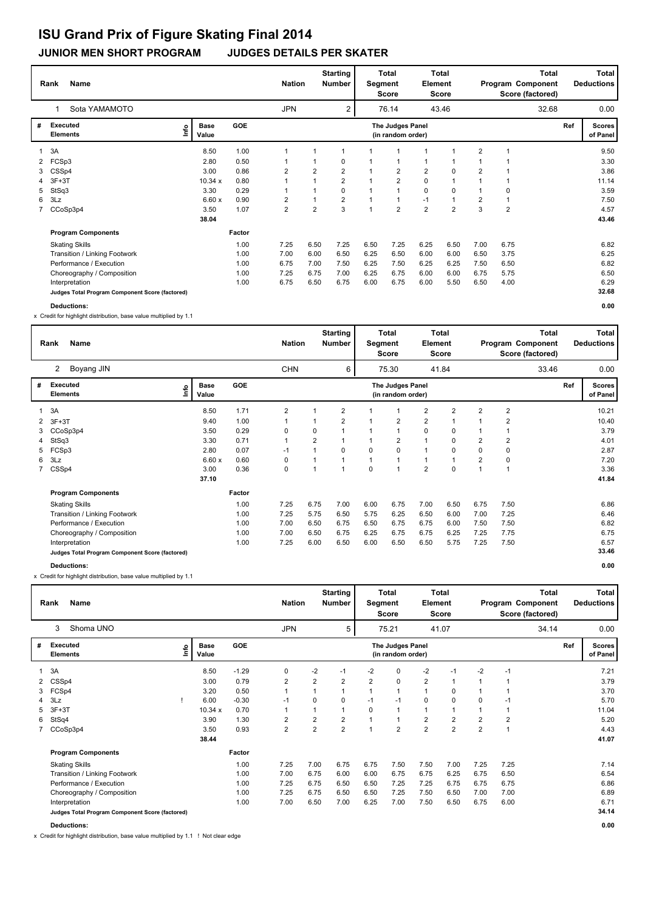## **ISU Grand Prix of Figure Skating Final 2014**

## **JUNIOR MEN SHORT PROGRAM JUDGES DETAILS PER SKATER**

|   | <b>Name</b><br>Rank                             | <b>Nation</b>                |        | <b>Starting</b><br><b>Number</b> | Segment                          | <b>Total</b><br>Score | Total<br>Element<br>Score |                                       |                |                | Total<br>Program Component<br>Score (factored) |                | Total<br><b>Deductions</b> |     |                           |
|---|-------------------------------------------------|------------------------------|--------|----------------------------------|----------------------------------|-----------------------|---------------------------|---------------------------------------|----------------|----------------|------------------------------------------------|----------------|----------------------------|-----|---------------------------|
|   | Sota YAMAMOTO<br>1                              |                              |        | <b>JPN</b>                       | $\overline{c}$<br>76.14<br>43.46 |                       |                           |                                       |                |                | 32.68                                          |                | 0.00                       |     |                           |
| # | <b>Executed</b><br><b>Elements</b>              | <b>Base</b><br>١nf٥<br>Value | GOE    |                                  |                                  |                       |                           | The Judges Panel<br>(in random order) |                |                |                                                |                |                            | Ref | <b>Scores</b><br>of Panel |
|   | 3A                                              | 8.50                         | 1.00   | 1                                |                                  |                       |                           |                                       |                |                | $\overline{2}$                                 |                |                            |     | 9.50                      |
| 2 | FCSp3                                           | 2.80                         | 0.50   |                                  |                                  | 0                     |                           |                                       |                |                |                                                |                |                            |     | 3.30                      |
| 3 | CSSp4                                           | 3.00                         | 0.86   | 2                                | $\overline{\mathbf{c}}$          | $\overline{2}$        |                           | $\overline{2}$                        | $\overline{2}$ | 0              | $\overline{2}$                                 |                |                            |     | 3.86                      |
| 4 | $3F+3T$                                         | 10.34 x                      | 0.80   |                                  |                                  | $\overline{2}$        |                           | $\overline{2}$                        | $\mathbf 0$    |                |                                                |                |                            |     | 11.14                     |
| 5 | StSq3                                           | 3.30                         | 0.29   |                                  |                                  | $\Omega$              |                           |                                       | 0              | 0              |                                                | 0              |                            |     | 3.59                      |
| 6 | 3Lz                                             | 6.60x                        | 0.90   | 2                                |                                  | $\overline{2}$        | $\overline{1}$            | $\overline{1}$                        | $-1$           | 1              | $\overline{2}$                                 |                |                            |     | 7.50                      |
|   | CCoSp3p4                                        | 3.50                         | 1.07   | $\overline{2}$                   | $\overline{2}$                   | 3                     | $\overline{1}$            | $\overline{2}$                        | $\overline{2}$ | $\overline{2}$ | 3                                              | $\overline{2}$ |                            |     | 4.57                      |
|   |                                                 | 38.04                        |        |                                  |                                  |                       |                           |                                       |                |                |                                                |                |                            |     | 43.46                     |
|   | <b>Program Components</b>                       |                              | Factor |                                  |                                  |                       |                           |                                       |                |                |                                                |                |                            |     |                           |
|   | <b>Skating Skills</b>                           |                              | 1.00   | 7.25                             | 6.50                             | 7.25                  | 6.50                      | 7.25                                  | 6.25           | 6.50           | 7.00                                           | 6.75           |                            |     | 6.82                      |
|   | Transition / Linking Footwork                   |                              | 1.00   | 7.00                             | 6.00                             | 6.50                  | 6.25                      | 6.50                                  | 6.00           | 6.00           | 6.50                                           | 3.75           |                            |     | 6.25                      |
|   | Performance / Execution                         |                              | 1.00   | 6.75                             | 7.00                             | 7.50                  | 6.25                      | 7.50                                  | 6.25           | 6.25           | 7.50                                           | 6.50           |                            |     | 6.82                      |
|   | Choreography / Composition                      |                              | 1.00   | 7.25                             | 6.75                             | 7.00                  | 6.25                      | 6.75                                  | 6.00           | 6.00           | 6.75                                           | 5.75           |                            |     | 6.50                      |
|   | Interpretation                                  |                              | 1.00   | 6.75                             | 6.50                             | 6.75                  | 6.00                      | 6.75                                  | 6.00           | 5.50           | 6.50                                           | 4.00           |                            |     | 6.29                      |
|   | Judges Total Program Component Score (factored) |                              |        |                                  |                                  |                       |                           |                                       |                |                |                                                |                |                            |     | 32.68                     |
|   | Deductions:                                     |                              |        |                                  |                                  |                       |                           |                                       |                |                |                                                |                |                            |     | 0.00                      |

x Credit for highlight distribution, base value multiplied by 1.1

| <b>Name</b><br>Rank |                                                 |                              |        |                | <b>Starting</b><br><b>Nation</b><br><b>Number</b> |                | <b>Total</b><br>Segment<br>Score |                                       | <b>Total</b><br>Element<br><b>Score</b> |          | Total<br>Program Component<br>Score (factored) |       |  |      | <b>Total</b><br><b>Deductions</b> |
|---------------------|-------------------------------------------------|------------------------------|--------|----------------|---------------------------------------------------|----------------|----------------------------------|---------------------------------------|-----------------------------------------|----------|------------------------------------------------|-------|--|------|-----------------------------------|
|                     | 2<br>Boyang JIN                                 |                              |        |                | 6                                                 |                | 75.30                            | 41.84                                 |                                         |          |                                                | 33.46 |  | 0.00 |                                   |
|                     | <b>Executed</b><br><b>Elements</b>              | <b>Base</b><br>lnfo<br>Value | GOE    |                |                                                   |                |                                  | The Judges Panel<br>(in random order) |                                         |          |                                                |       |  | Ref  | <b>Scores</b><br>of Panel         |
|                     | 3A                                              | 8.50                         | 1.71   | $\overline{2}$ |                                                   | $\overline{2}$ | 1                                |                                       | 2                                       | 2        | $\overline{2}$                                 | 2     |  |      | 10.21                             |
| 2                   | $3F+3T$                                         | 9.40                         | 1.00   |                | 1                                                 | $\overline{2}$ | 1                                | 2                                     | $\overline{2}$                          | 1        |                                                | 2     |  |      | 10.40                             |
| 3                   | CCoSp3p4                                        | 3.50                         | 0.29   | 0              | $\Omega$                                          | $\overline{1}$ | 1                                | 1                                     | $\Omega$                                | $\Omega$ |                                                |       |  |      | 3.79                              |
| 4                   | StSq3                                           | 3.30                         | 0.71   | 1              | $\overline{2}$                                    | $\overline{1}$ |                                  | $\overline{2}$                        | 1                                       | $\Omega$ | 2                                              | 2     |  |      | 4.01                              |
| 5                   | FCSp3                                           | 2.80                         | 0.07   | $-1$           | 1                                                 | 0              | $\Omega$                         | 0                                     | 1                                       | $\Omega$ | 0                                              | 0     |  |      | 2.87                              |
| 6                   | 3Lz                                             | 6.60x                        | 0.60   | 0              | 1                                                 | $\overline{1}$ | 1                                | 1                                     | $\mathbf{1}$                            | 1        | $\overline{2}$                                 | 0     |  |      | 7.20                              |
| $7^{\circ}$         | CSSp4                                           | 3.00                         | 0.36   | 0              | 1                                                 | $\overline{1}$ | $\Omega$                         | 1                                     | $\overline{2}$                          | $\Omega$ | 1                                              |       |  |      | 3.36                              |
|                     |                                                 | 37.10                        |        |                |                                                   |                |                                  |                                       |                                         |          |                                                |       |  |      | 41.84                             |
|                     | <b>Program Components</b>                       |                              | Factor |                |                                                   |                |                                  |                                       |                                         |          |                                                |       |  |      |                                   |
|                     | <b>Skating Skills</b>                           |                              | 1.00   | 7.25           | 6.75                                              | 7.00           | 6.00                             | 6.75                                  | 7.00                                    | 6.50     | 6.75                                           | 7.50  |  |      | 6.86                              |
|                     | Transition / Linking Footwork                   |                              | 1.00   | 7.25           | 5.75                                              | 6.50           | 5.75                             | 6.25                                  | 6.50                                    | 6.00     | 7.00                                           | 7.25  |  |      | 6.46                              |
|                     | Performance / Execution                         |                              | 1.00   | 7.00           | 6.50                                              | 6.75           | 6.50                             | 6.75                                  | 6.75                                    | 6.00     | 7.50                                           | 7.50  |  |      | 6.82                              |
|                     | Choreography / Composition                      |                              | 1.00   | 7.00           | 6.50                                              | 6.75           | 6.25                             | 6.75                                  | 6.75                                    | 6.25     | 7.25                                           | 7.75  |  |      | 6.75                              |
|                     | Interpretation                                  |                              | 1.00   | 7.25           | 6.00                                              | 6.50           | 6.00                             | 6.50                                  | 6.50                                    | 5.75     | 7.25                                           | 7.50  |  |      | 6.57                              |
|                     | Judges Total Program Component Score (factored) |                              |        |                |                                                   |                |                                  |                                       |                                         |          |                                                |       |  |      | 33.46                             |
|                     | Deductions:                                     |                              |        |                |                                                   |                |                                  |                                       |                                         |          |                                                |       |  |      | 0.00                              |

x Credit for highlight distribution, base value multiplied by 1.1

| <b>Name</b><br>Rank |                                                 |      |                      |         | <b>Nation</b>  |                         | <b>Starting</b><br><b>Number</b> | Segment        | <b>Total</b><br>Score                 | Total<br>Element<br>Score |                | Total<br>Program Component<br>Score (factored) |                         |       |     | Total<br><b>Deductions</b> |
|---------------------|-------------------------------------------------|------|----------------------|---------|----------------|-------------------------|----------------------------------|----------------|---------------------------------------|---------------------------|----------------|------------------------------------------------|-------------------------|-------|-----|----------------------------|
|                     | Shoma UNO<br>3                                  |      |                      |         | <b>JPN</b>     |                         | 5                                |                | 75.21                                 |                           | 41.07          |                                                |                         | 34.14 |     | 0.00                       |
| #                   | <b>Executed</b><br><b>Elements</b>              | ١nf٥ | <b>Base</b><br>Value | GOE     |                |                         |                                  |                | The Judges Panel<br>(in random order) |                           |                |                                                |                         |       | Ref | <b>Scores</b><br>of Panel  |
|                     | 3A                                              |      | 8.50                 | $-1.29$ | 0              | $-2$                    | $-1$                             | $-2$           | 0                                     | $-2$                      | $-1$           | $-2$                                           | $-1$                    |       |     | 7.21                       |
|                     | CSS <sub>p4</sub>                               |      | 3.00                 | 0.79    | 2              | $\overline{\mathbf{c}}$ | 2                                | $\overline{2}$ | 0                                     | $\overline{2}$            |                |                                                |                         |       |     | 3.79                       |
| 3                   | FCSp4                                           |      | 3.20                 | 0.50    |                |                         |                                  | 1              | 1                                     | $\mathbf{1}$              | 0              |                                                |                         |       |     | 3.70                       |
| 4                   | 3Lz                                             |      | 6.00                 | $-0.30$ | $-1$           | 0                       | $\Omega$                         | $-1$           | $-1$                                  | $\mathbf 0$               | 0              | 0                                              | $-1$                    |       |     | 5.70                       |
| 5.                  | $3F+3T$                                         |      | 10.34 x              | 0.70    |                |                         |                                  | 0              |                                       |                           |                |                                                |                         |       |     | 11.04                      |
| 6                   | StSq4                                           |      | 3.90                 | 1.30    | 2              | 2                       | 2                                | $\overline{A}$ | $\overline{1}$                        | $\overline{2}$            | 2              | $\overline{2}$                                 | $\overline{\mathbf{c}}$ |       |     | 5.20                       |
|                     | CCoSp3p4                                        |      | 3.50                 | 0.93    | $\overline{2}$ | $\overline{2}$          | $\overline{2}$                   | $\overline{ }$ | $\overline{2}$                        | $\overline{2}$            | $\overline{2}$ | $\overline{2}$                                 | $\overline{1}$          |       |     | 4.43                       |
|                     |                                                 |      | 38.44                |         |                |                         |                                  |                |                                       |                           |                |                                                |                         |       |     | 41.07                      |
|                     | <b>Program Components</b>                       |      |                      | Factor  |                |                         |                                  |                |                                       |                           |                |                                                |                         |       |     |                            |
|                     | <b>Skating Skills</b>                           |      |                      | 1.00    | 7.25           | 7.00                    | 6.75                             | 6.75           | 7.50                                  | 7.50                      | 7.00           | 7.25                                           | 7.25                    |       |     | 7.14                       |
|                     | Transition / Linking Footwork                   |      |                      | 1.00    | 7.00           | 6.75                    | 6.00                             | 6.00           | 6.75                                  | 6.75                      | 6.25           | 6.75                                           | 6.50                    |       |     | 6.54                       |
|                     | Performance / Execution                         |      |                      | 1.00    | 7.25           | 6.75                    | 6.50                             | 6.50           | 7.25                                  | 7.25                      | 6.75           | 6.75                                           | 6.75                    |       |     | 6.86                       |
|                     | Choreography / Composition                      |      |                      | 1.00    | 7.25           | 6.75                    | 6.50                             | 6.50           | 7.25                                  | 7.50                      | 6.50           | 7.00                                           | 7.00                    |       |     | 6.89                       |
|                     | Interpretation                                  |      |                      | 1.00    | 7.00           | 6.50                    | 7.00                             | 6.25           | 7.00                                  | 7.50                      | 6.50           | 6.75                                           | 6.00                    |       |     | 6.71                       |
|                     | Judges Total Program Component Score (factored) |      |                      |         |                |                         |                                  |                |                                       |                           |                |                                                |                         |       |     | 34.14                      |
|                     | Deductions:                                     |      |                      |         |                |                         |                                  |                |                                       |                           |                |                                                |                         |       |     | 0.00                       |

x Credit for highlight distribution, base value multiplied by 1.1 ! Not clear edge